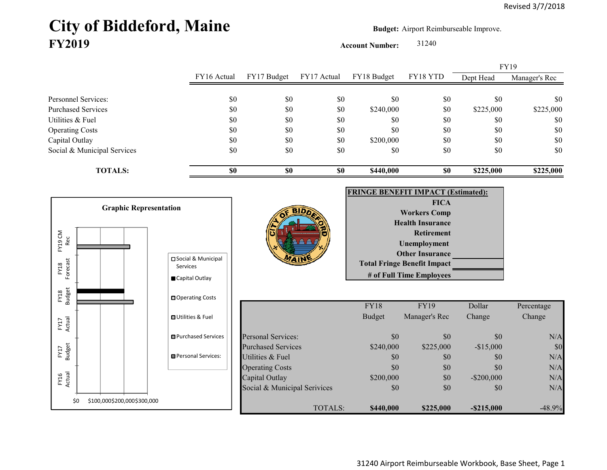## City of Biddeford, Maine **Budget: Airport Reimburseable Improve. FY2019**

**Account Number:** 31240

FY16 Actual FY17 Budget FY17 Actual FY18 Budget FY18 YTD Dept Head Manager's Rec Personnel Services: \$0 \$0 \$0 \$0 \$0 \$0 \$0 Purchased Services 60 \$225,000 \$225,000 \$0 \$0 \$225,000 \$225,000 \$225,000 \$225,000 \$225,000 \$225,000 \$225,000 \$225,000 \$225,000 \$225,000 \$225,000 \$225,000 \$225,000 \$225,000 \$225,000 \$225,000 \$225,000 \$225,000 \$225,000 \$225, Utilities & Fuel \$0 \$0 \$0 \$0 \$0 \$0 \$0 Operating Costs \$0 \$0 \$0 \$0 \$0 \$0 Capital Outlay \$0 \$0 \$0 \$0 \$0 \$0 \$0 Social & Municipal Services \$0 \$0 \$0 \$0 \$0 \$0 \$0 **TOTALS: \$0 \$0 \$0 \$440,000 \$0 \$225,000 \$225,000** FY19

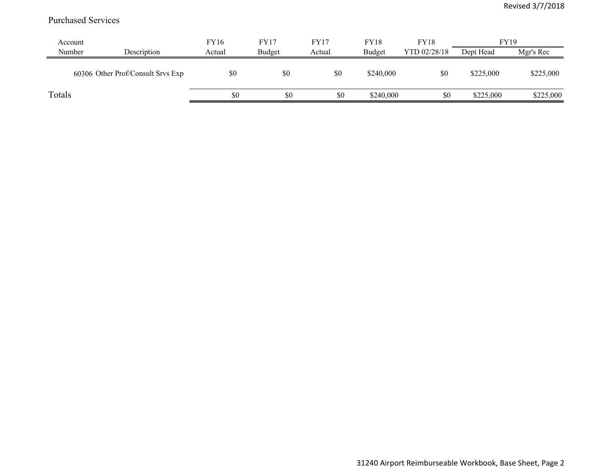## Purchased Services

| Account |                                   | FY16   | <b>FY17</b> | <b>FY17</b> | <b>FY18</b> | <b>FY18</b>  | <b>FY19</b> |           |
|---------|-----------------------------------|--------|-------------|-------------|-------------|--------------|-------------|-----------|
| Number  | Description                       | Actual | Budget      | Actual      | Budget      | YTD 02/28/18 | Dept Head   | Mgr's Rec |
|         | 60306 Other Prof/Consult Srvs Exp | \$0    | \$0         | \$0         | \$240,000   | \$0          | \$225,000   | \$225,000 |
| Totals  |                                   | \$0    | \$0         | \$0         | \$240,000   | \$0          | \$225,000   | \$225,000 |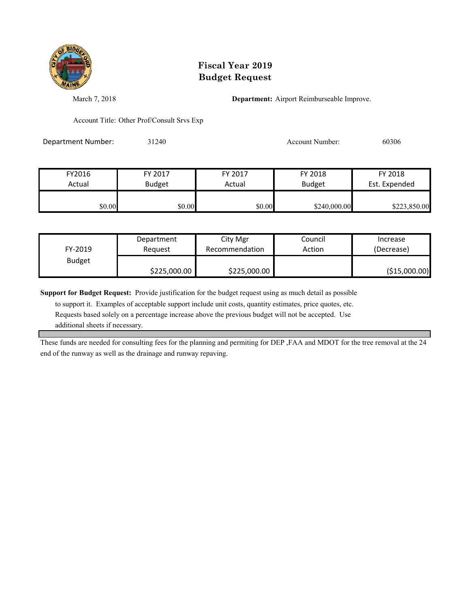

## **Fiscal Year 2019 Budget Request**

March 7, 2018 **Department:** Airport Reimburseable Improve.

Account Title: Other Prof/Consult Srvs Exp

Department Number: 31240 Account Number: 60306

| FY2016 | FY 2017       | FY 2017 | FY 2018       | FY 2018       |  |
|--------|---------------|---------|---------------|---------------|--|
| Actual | <b>Budget</b> | Actual  | <b>Budget</b> | Est. Expended |  |
|        |               |         |               |               |  |
| \$0.00 | \$0.00        | \$0.00  | \$240,000.00  | \$223,850.00  |  |

|               | Department   | City Mgr       | Council | Increase      |
|---------------|--------------|----------------|---------|---------------|
| FY-2019       | Reauest      | Recommendation | Action  | (Decrease)    |
| <b>Budget</b> |              |                |         |               |
|               | \$225,000.00 | \$225,000.00   |         | (\$15,000.00) |

**Support for Budget Request:** Provide justification for the budget request using as much detail as possible

 to support it. Examples of acceptable support include unit costs, quantity estimates, price quotes, etc. Requests based solely on a percentage increase above the previous budget will not be accepted. Use additional sheets if necessary.

These funds are needed for consulting fees for the planning and permiting for DEP ,FAA and MDOT for the tree removal at the 24 end of the runway as well as the drainage and runway repaving.